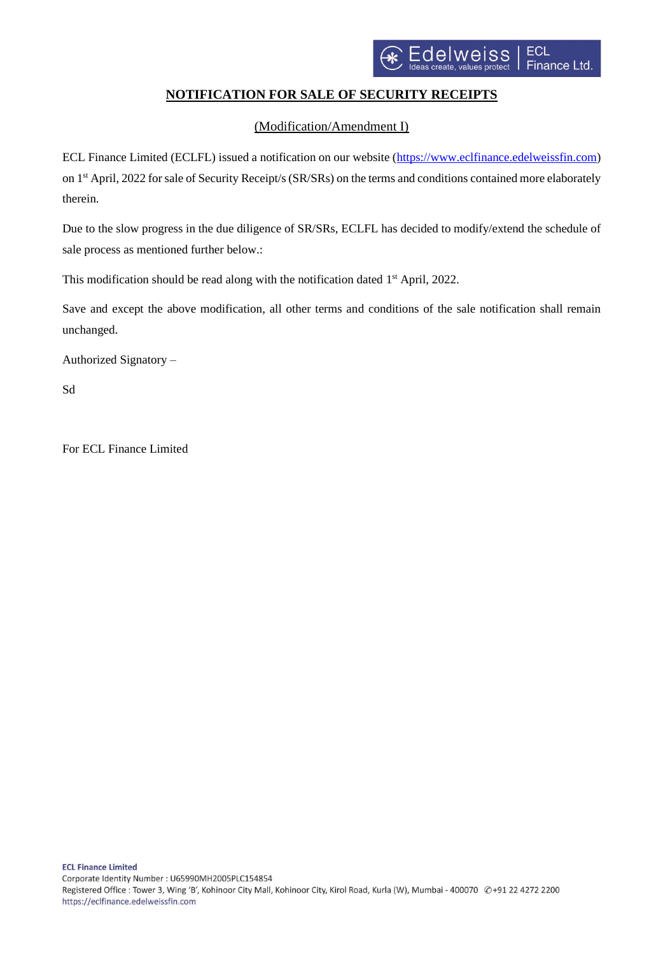

## **NOTIFICATION FOR SALE OF SECURITY RECEIPTS**

(Modification/Amendment I)

ECL Finance Limited (ECLFL) issued a notification on our website [\(https://www.eclfinance.edelweissfin.com\)](https://www.eclfinance.edelweissfin.com/) on 1 st April, 2022 for sale of Security Receipt/s (SR/SRs) on the terms and conditions contained more elaborately therein.

Due to the slow progress in the due diligence of SR/SRs, ECLFL has decided to modify/extend the schedule of sale process as mentioned further below.:

This modification should be read along with the notification dated 1<sup>st</sup> April, 2022.

Save and except the above modification, all other terms and conditions of the sale notification shall remain unchanged.

Authorized Signatory –

Sd

For ECL Finance Limited